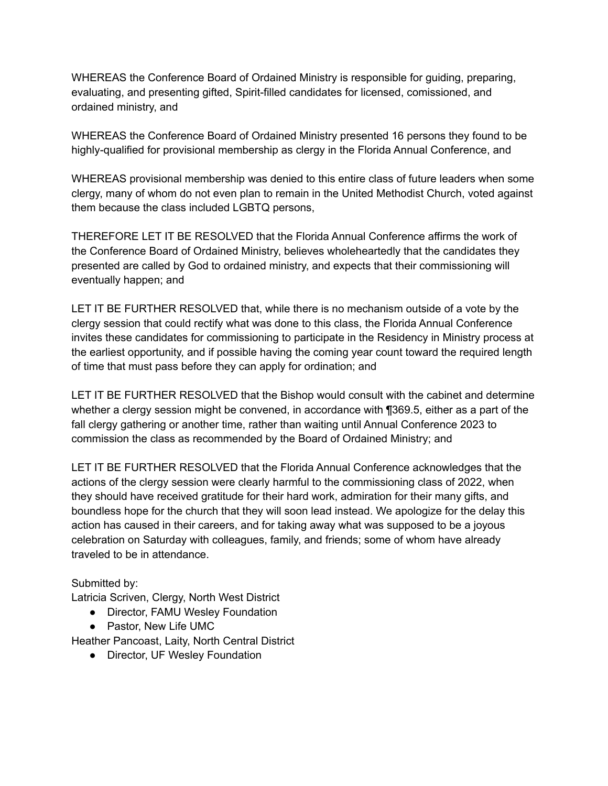WHEREAS the Conference Board of Ordained Ministry is responsible for guiding, preparing, evaluating, and presenting gifted, Spirit-filled candidates for licensed, comissioned, and ordained ministry, and

WHEREAS the Conference Board of Ordained Ministry presented 16 persons they found to be highly-qualified for provisional membership as clergy in the Florida Annual Conference, and

WHEREAS provisional membership was denied to this entire class of future leaders when some clergy, many of whom do not even plan to remain in the United Methodist Church, voted against them because the class included LGBTQ persons,

THEREFORE LET IT BE RESOLVED that the Florida Annual Conference affirms the work of the Conference Board of Ordained Ministry, believes wholeheartedly that the candidates they presented are called by God to ordained ministry, and expects that their commissioning will eventually happen; and

LET IT BE FURTHER RESOLVED that, while there is no mechanism outside of a vote by the clergy session that could rectify what was done to this class, the Florida Annual Conference invites these candidates for commissioning to participate in the Residency in Ministry process at the earliest opportunity, and if possible having the coming year count toward the required length of time that must pass before they can apply for ordination; and

LET IT BE FURTHER RESOLVED that the Bishop would consult with the cabinet and determine whether a clergy session might be convened, in accordance with ¶369.5, either as a part of the fall clergy gathering or another time, rather than waiting until Annual Conference 2023 to commission the class as recommended by the Board of Ordained Ministry; and

LET IT BE FURTHER RESOLVED that the Florida Annual Conference acknowledges that the actions of the clergy session were clearly harmful to the commissioning class of 2022, when they should have received gratitude for their hard work, admiration for their many gifts, and boundless hope for the church that they will soon lead instead. We apologize for the delay this action has caused in their careers, and for taking away what was supposed to be a joyous celebration on Saturday with colleagues, family, and friends; some of whom have already traveled to be in attendance.

# Submitted by:

Latricia Scriven, Clergy, North West District

- Director, FAMU Wesley Foundation
- Pastor, New Life UMC

Heather Pancoast, Laity, North Central District

• Director, UF Wesley Foundation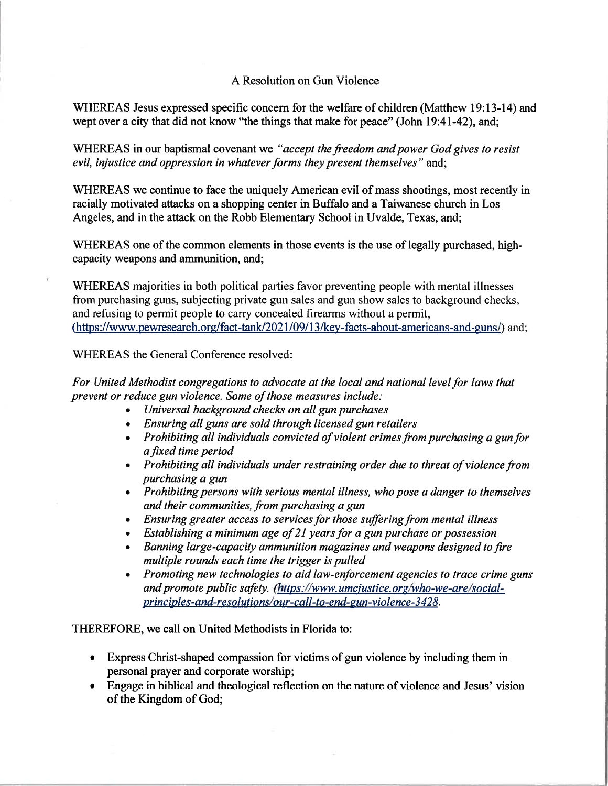# A Resolution on Gun Violence

WHEREAS Jesus expressed specific concern for the welfare of children (Matthew 19:13-14) and wept over a city that did not know "the things that make for peace" (John 19:41-42), and:

WHEREAS in our baptismal covenant we "accept the freedom and power God gives to resist evil, injustice and oppression in whatever forms they present themselves" and:

WHEREAS we continue to face the uniquely American evil of mass shootings, most recently in racially motivated attacks on a shopping center in Buffalo and a Taiwanese church in Los Angeles, and in the attack on the Robb Elementary School in Uvalde, Texas, and;

WHEREAS one of the common elements in those events is the use of legally purchased, highcapacity weapons and ammunition, and;

WHEREAS majorities in both political parties favor preventing people with mental illnesses from purchasing guns, subjecting private gun sales and gun show sales to background checks, and refusing to permit people to carry concealed firearms without a permit, (https://www.pewresearch.org/fact-tank/2021/09/13/key-facts-about-americans-and-guns/) and;

WHEREAS the General Conference resolved:

V.

For United Methodist congregations to advocate at the local and national level for laws that prevent or reduce gun violence. Some of those measures include:

- Universal background checks on all gun purchases
- Ensuring all guns are sold through licensed gun retailers
- Prohibiting all individuals convicted of violent crimes from purchasing a gun for a fixed time period
- Prohibiting all individuals under restraining order due to threat of violence from purchasing a gun
- Prohibiting persons with serious mental illness, who pose a danger to themselves and their communities, from purchasing a gun
- Ensuring greater access to services for those suffering from mental illness
- Establishing a minimum age of 21 years for a gun purchase or possession
- Banning large-capacity ammunition magazines and weapons designed to fire multiple rounds each time the trigger is pulled
- Promoting new technologies to aid law-enforcement agencies to trace crime guns and promote public safety. (https://www.umcjustice.org/who-we-are/socialprinciples-and-resolutions/our-call-to-end-gun-violence-3428.

THEREFORE, we call on United Methodists in Florida to:

- Express Christ-shaped compassion for victims of gun violence by including them in personal prayer and corporate worship;
- Engage in biblical and theological reflection on the nature of violence and Jesus' vision of the Kingdom of God;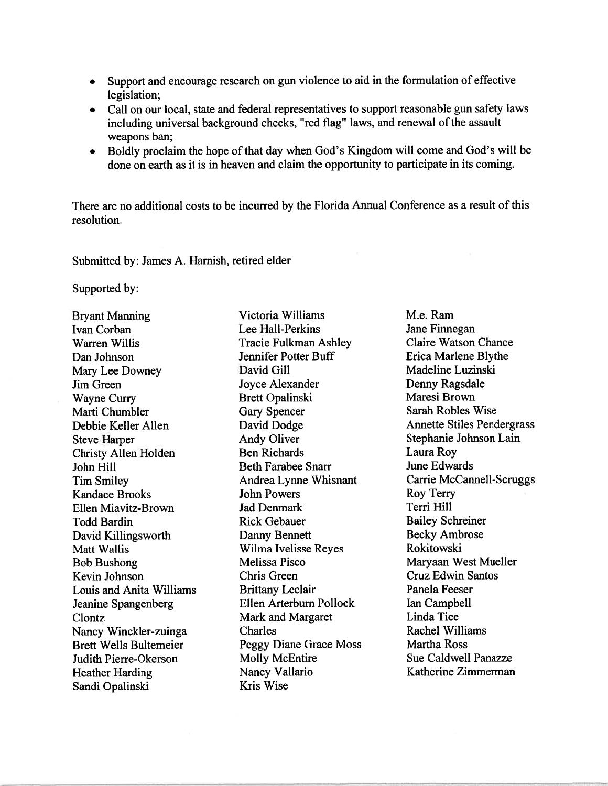- Support and encourage research on gun violence to aid in the formulation of effective legislation;
- Call on our local, state and federal representatives to support reasonable gun safety laws including universal background checks, "red flag" laws, and renewal of the assault weapons ban;
- Boldly proclaim the hope of that day when God's Kingdom will come and God's will be done on earth as it is in heaven and claim the opportunity to participate in its coming.

There are no additional costs to be incurred by the Florida Annual Conference as a result of this resolution.

Submitted by: James A. Harnish, retired elder

Supported by:

**Bryant Manning Ivan Corban** Warren Willis Dan Johnson Mary Lee Downey Jim Green **Wayne Curry** Marti Chumbler Debbie Keller Allen **Steve Harper Christy Allen Holden** John Hill **Tim Smiley Kandace Brooks** Ellen Miavitz-Brown **Todd Bardin** David Killingsworth Matt Wallis **Bob Bushong** Kevin Johnson **Louis and Anita Williams** Jeanine Spangenberg Clontz Nancy Winckler-zuinga **Brett Wells Bultemeier** Judith Pierre-Okerson **Heather Harding** Sandi Opalinski

Victoria Williams Lee Hall-Perkins **Tracie Fulkman Ashley** Jennifer Potter Buff David Gill Jovce Alexander **Brett Opalinski Gary Spencer** David Dodge **Andy Oliver Ben Richards Beth Farabee Snarr** Andrea Lynne Whisnant **John Powers Jad Denmark Rick Gebauer** Danny Bennett Wilma Ivelisse Reyes Melissa Pisco Chris Green **Brittany Leclair** Ellen Arterburn Pollock Mark and Margaret Charles Peggy Diane Grace Moss **Molly McEntire** Nancy Vallario Kris Wise

M.e. Ram Jane Finnegan **Claire Watson Chance** Erica Marlene Blythe Madeline Luzinski Denny Ragsdale Maresi Brown Sarah Robles Wise **Annette Stiles Pendergrass** Stephanie Johnson Lain Laura Roy **June Edwards Carrie McCannell-Scruggs** Roy Terry Terri Hill **Bailey Schreiner Becky Ambrose** Rokitowski Maryaan West Mueller **Cruz Edwin Santos** Panela Feeser Ian Campbell Linda Tice Rachel Williams **Martha Ross** Sue Caldwell Panazze Katherine Zimmerman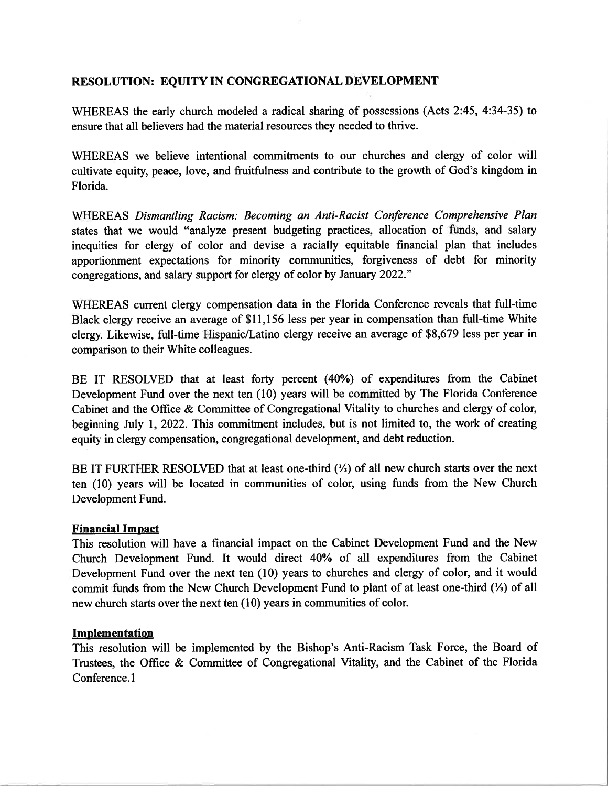## **RESOLUTION: EOUITY IN CONGREGATIONAL DEVELOPMENT**

WHEREAS the early church modeled a radical sharing of possessions (Acts 2:45, 4:34-35) to ensure that all believers had the material resources they needed to thrive.

WHEREAS we believe intentional commitments to our churches and clergy of color will cultivate equity, peace, love, and fruitfulness and contribute to the growth of God's kingdom in Florida.

WHEREAS Dismantling Racism: Becoming an Anti-Racist Conference Comprehensive Plan states that we would "analyze present budgeting practices, allocation of funds, and salary inequities for clergy of color and devise a racially equitable financial plan that includes apportionment expectations for minority communities, forgiveness of debt for minority congregations, and salary support for clergy of color by January 2022."

WHEREAS current clergy compensation data in the Florida Conference reveals that full-time Black clergy receive an average of \$11,156 less per year in compensation than full-time White clergy. Likewise, full-time Hispanic/Latino clergy receive an average of \$8,679 less per year in comparison to their White colleagues.

BE IT RESOLVED that at least forty percent (40%) of expenditures from the Cabinet Development Fund over the next ten (10) years will be committed by The Florida Conference Cabinet and the Office & Committee of Congregational Vitality to churches and clergy of color, beginning July 1, 2022. This commitment includes, but is not limited to, the work of creating equity in clergy compensation, congregational development, and debt reduction.

BE IT FURTHER RESOLVED that at least one-third  $(\frac{1}{3})$  of all new church starts over the next ten (10) years will be located in communities of color, using funds from the New Church Development Fund.

### **Financial Impact**

This resolution will have a financial impact on the Cabinet Development Fund and the New Church Development Fund. It would direct 40% of all expenditures from the Cabinet Development Fund over the next ten (10) years to churches and clergy of color, and it would commit funds from the New Church Development Fund to plant of at least one-third (1/3) of all new church starts over the next ten (10) years in communities of color.

### Implementation

This resolution will be implemented by the Bishop's Anti-Racism Task Force, the Board of Trustees, the Office & Committee of Congregational Vitality, and the Cabinet of the Florida Conference.1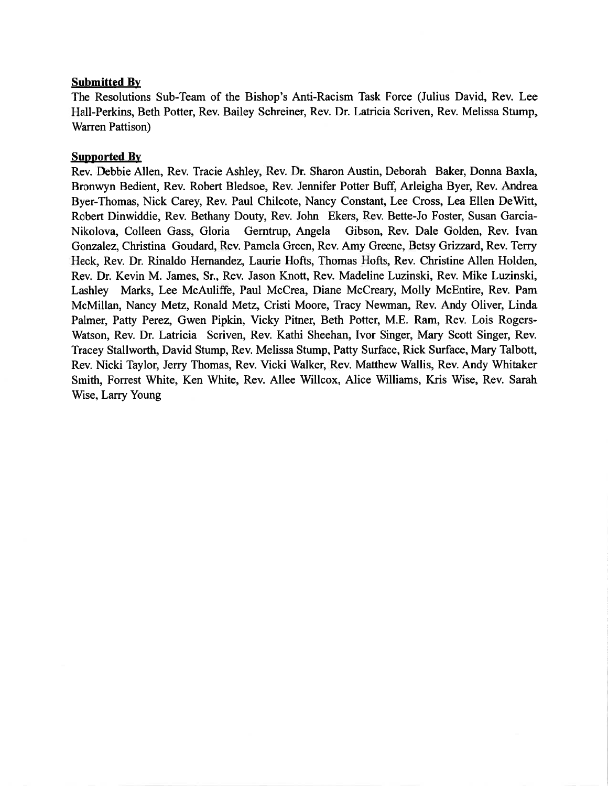### **Submitted By**

The Resolutions Sub-Team of the Bishop's Anti-Racism Task Force (Julius David, Rev. Lee Hall-Perkins, Beth Potter, Rev. Bailey Schreiner, Rev. Dr. Latricia Scriven, Rev. Melissa Stump, Warren Pattison)

# **Supported By**

Rev. Debbie Allen, Rev. Tracie Ashley, Rev. Dr. Sharon Austin, Deborah Baker, Donna Baxla, Bronwyn Bedient, Rev. Robert Bledsoe, Rev. Jennifer Potter Buff, Arleigha Byer, Rev. Andrea Byer-Thomas, Nick Carey, Rev. Paul Chilcote, Nancy Constant, Lee Cross, Lea Ellen DeWitt, Robert Dinwiddie, Rev. Bethany Douty, Rev. John Ekers, Rev. Bette-Jo Foster, Susan Garcia-Nikolova, Colleen Gass, Gloria Gerntrup, Angela Gibson, Rev. Dale Golden, Rev. Ivan Gonzalez, Christina Goudard, Rev. Pamela Green, Rev. Amy Greene, Betsy Grizzard, Rev. Terry Heck, Rev. Dr. Rinaldo Hernandez, Laurie Hofts, Thomas Hofts, Rev. Christine Allen Holden, Rev. Dr. Kevin M. James, Sr., Rev. Jason Knott, Rev. Madeline Luzinski, Rev. Mike Luzinski, Lashley Marks, Lee McAuliffe, Paul McCrea, Diane McCreary, Molly McEntire, Rev. Pam McMillan, Nancy Metz, Ronald Metz, Cristi Moore, Tracy Newman, Rev. Andy Oliver, Linda Palmer, Patty Perez, Gwen Pipkin, Vicky Pitner, Beth Potter, M.E. Ram, Rev. Lois Rogers-Watson, Rev. Dr. Latricia Scriven, Rev. Kathi Sheehan, Ivor Singer, Mary Scott Singer, Rev. Tracey Stallworth, David Stump, Rev. Melissa Stump, Patty Surface, Rick Surface, Mary Talbott, Rev. Nicki Taylor, Jerry Thomas, Rev. Vicki Walker, Rev. Matthew Wallis, Rev. Andy Whitaker Smith, Forrest White, Ken White, Rev. Allee Willcox, Alice Williams, Kris Wise, Rev. Sarah Wise, Larry Young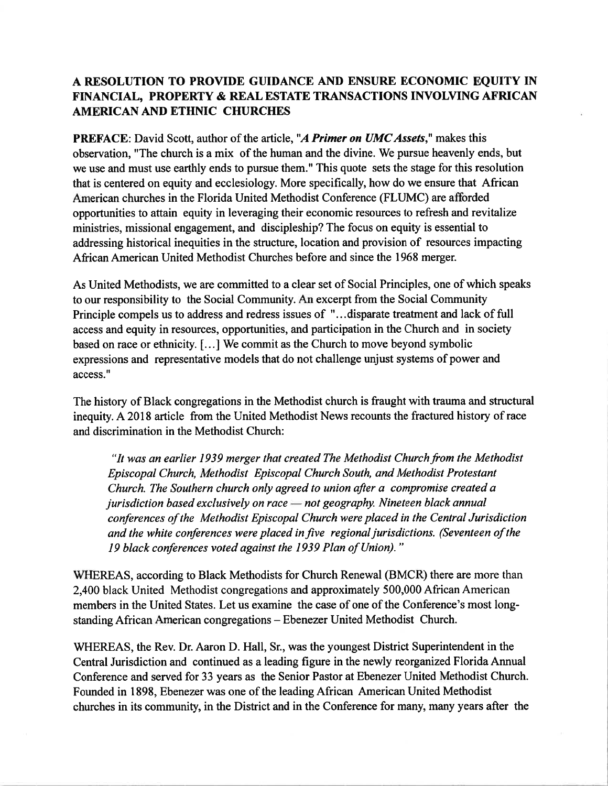# A RESOLUTION TO PROVIDE GUIDANCE AND ENSURE ECONOMIC EQUITY IN FINANCIAL, PROPERTY & REAL ESTATE TRANSACTIONS INVOLVING AFRICAN **AMERICAN AND ETHNIC CHURCHES**

PREFACE: David Scott, author of the article, "A Primer on UMC Assets," makes this observation, "The church is a mix of the human and the divine. We pursue heavenly ends, but we use and must use earthly ends to pursue them." This quote sets the stage for this resolution that is centered on equity and ecclesiology. More specifically, how do we ensure that African American churches in the Florida United Methodist Conference (FLUMC) are afforded opportunities to attain equity in leveraging their economic resources to refresh and revitalize ministries, missional engagement, and discipleship? The focus on equity is essential to addressing historical inequities in the structure, location and provision of resources impacting African American United Methodist Churches before and since the 1968 merger.

As United Methodists, we are committed to a clear set of Social Principles, one of which speaks to our responsibility to the Social Community. An excerpt from the Social Community Principle compels us to address and redress issues of "...disparate treatment and lack of full access and equity in resources, opportunities, and participation in the Church and in society based on race or ethnicity. [...] We commit as the Church to move beyond symbolic expressions and representative models that do not challenge unjust systems of power and access."

The history of Black congregations in the Methodist church is fraught with trauma and structural inequity. A 2018 article from the United Methodist News recounts the fractured history of race and discrimination in the Methodist Church:

"It was an earlier 1939 merger that created The Methodist Church from the Methodist Episcopal Church, Methodist Episcopal Church South, and Methodist Protestant Church. The Southern church only agreed to union after a compromise created a jurisdiction based exclusively on race - not geography. Nineteen black annual conferences of the Methodist Episcopal Church were placed in the Central Jurisdiction and the white conferences were placed in five regional jurisdictions. (Seventeen of the 19 black conferences voted against the 1939 Plan of Union)."

WHEREAS, according to Black Methodists for Church Renewal (BMCR) there are more than 2,400 black United Methodist congregations and approximately 500,000 African American members in the United States. Let us examine the case of one of the Conference's most longstanding African American congregations - Ebenezer United Methodist Church.

WHEREAS, the Rev. Dr. Aaron D. Hall, Sr., was the youngest District Superintendent in the Central Jurisdiction and continued as a leading figure in the newly reorganized Florida Annual Conference and served for 33 years as the Senior Pastor at Ebenezer United Methodist Church. Founded in 1898, Ebenezer was one of the leading African American United Methodist churches in its community, in the District and in the Conference for many, many years after the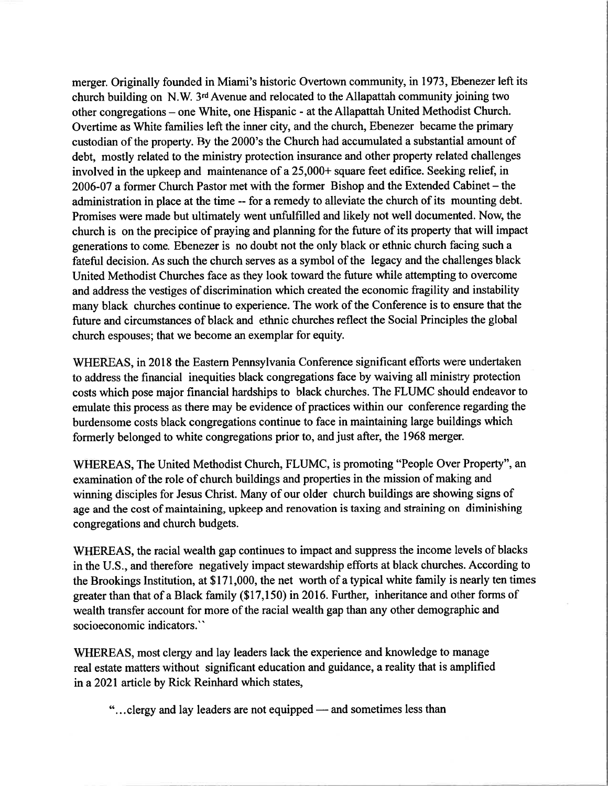merger. Originally founded in Miami's historic Overtown community, in 1973, Ebenezer left its church building on N.W. 3rd Avenue and relocated to the Allapattah community joining two other congregations – one White, one Hispanic - at the Allapattah United Methodist Church. Overtime as White families left the inner city, and the church, Ebenezer became the primary custodian of the property. By the 2000's the Church had accumulated a substantial amount of debt, mostly related to the ministry protection insurance and other property related challenges involved in the upkeep and maintenance of a 25,000+ square feet edifice. Seeking relief, in 2006-07 a former Church Pastor met with the former Bishop and the Extended Cabinet – the administration in place at the time -- for a remedy to alleviate the church of its mounting debt. Promises were made but ultimately went unfulfilled and likely not well documented. Now, the church is on the precipice of praying and planning for the future of its property that will impact generations to come. Ebenezer is no doubt not the only black or ethnic church facing such a fateful decision. As such the church serves as a symbol of the legacy and the challenges black United Methodist Churches face as they look toward the future while attempting to overcome and address the vestiges of discrimination which created the economic fragility and instability many black churches continue to experience. The work of the Conference is to ensure that the future and circumstances of black and ethnic churches reflect the Social Principles the global church espouses; that we become an exemplar for equity.

WHEREAS, in 2018 the Eastern Pennsylvania Conference significant efforts were undertaken to address the financial inequities black congregations face by waiving all ministry protection costs which pose major financial hardships to black churches. The FLUMC should endeavor to emulate this process as there may be evidence of practices within our conference regarding the burdensome costs black congregations continue to face in maintaining large buildings which formerly belonged to white congregations prior to, and just after, the 1968 merger.

WHEREAS, The United Methodist Church, FLUMC, is promoting "People Over Property", an examination of the role of church buildings and properties in the mission of making and winning disciples for Jesus Christ. Many of our older church buildings are showing signs of age and the cost of maintaining, upkeep and renovation is taxing and straining on diminishing congregations and church budgets.

WHEREAS, the racial wealth gap continues to impact and suppress the income levels of blacks in the U.S., and therefore negatively impact stewardship efforts at black churches. According to the Brookings Institution, at \$171,000, the net worth of a typical white family is nearly ten times greater than that of a Black family (\$17,150) in 2016. Further, inheritance and other forms of wealth transfer account for more of the racial wealth gap than any other demographic and socioeconomic indicators."

WHEREAS, most clergy and lay leaders lack the experience and knowledge to manage real estate matters without significant education and guidance, a reality that is amplified in a 2021 article by Rick Reinhard which states,

"...clergy and lay leaders are not equipped — and sometimes less than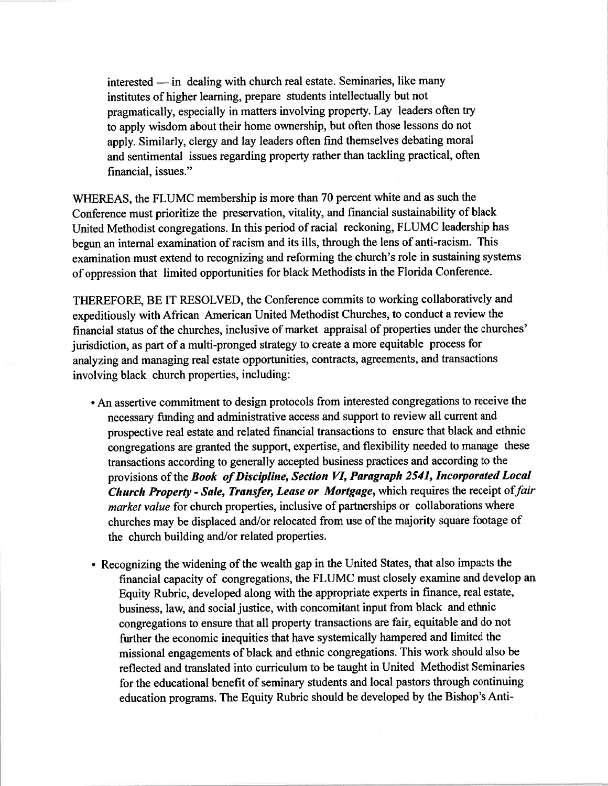interested — in dealing with church real estate. Seminaries, like many institutes of higher learning, prepare students intellectually but not pragmatically, especially in matters involving property. Lay leaders often try to apply wisdom about their home ownership, but often those lessons do not apply. Similarly, clergy and lay leaders often find themselves debating moral and sentimental issues regarding property rather than tackling practical, often financial, issues."

WHEREAS, the FLUMC membership is more than 70 percent white and as such the Conference must prioritize the preservation, vitality, and financial sustainability of black United Methodist congregations. In this period of racial reckoning, FLUMC leadership has begun an internal examination of racism and its ills, through the lens of anti-racism. This examination must extend to recognizing and reforming the church's role in sustaining systems of oppression that limited opportunities for black Methodists in the Florida Conference.

THEREFORE, BE IT RESOLVED, the Conference commits to working collaboratively and expeditiously with African American United Methodist Churches, to conduct a review the financial status of the churches, inclusive of market appraisal of properties under the churches' jurisdiction, as part of a multi-pronged strategy to create a more equitable process for analyzing and managing real estate opportunities, contracts, agreements, and transactions involving black church properties, including:

- An assertive commitment to design protocols from interested congregations to receive the necessary funding and administrative access and support to review all current and prospective real estate and related financial transactions to ensure that black and ethnic congregations are granted the support, expertise, and flexibility needed to manage these transactions according to generally accepted business practices and according to the provisions of the Book of Discipline, Section VI, Paragraph 2541, Incorporated Local Church Property - Sale, Transfer, Lease or Mortgage, which requires the receipt of fair market value for church properties, inclusive of partnerships or collaborations where churches may be displaced and/or relocated from use of the majority square footage of the church building and/or related properties.
- Recognizing the widening of the wealth gap in the United States, that also impacts the financial capacity of congregations, the FLUMC must closely examine and develop an Equity Rubric, developed along with the appropriate experts in finance, real estate, business, law, and social justice, with concomitant input from black and ethnic congregations to ensure that all property transactions are fair, equitable and do not further the economic inequities that have systemically hampered and limited the missional engagements of black and ethnic congregations. This work should also be reflected and translated into curriculum to be taught in United Methodist Seminaries for the educational benefit of seminary students and local pastors through continuing education programs. The Equity Rubric should be developed by the Bishop's Anti-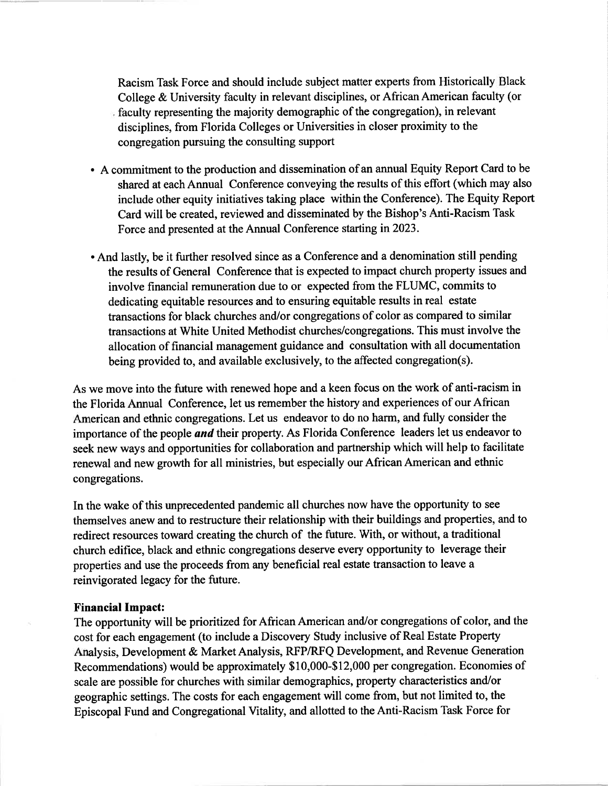Racism Task Force and should include subject matter experts from Historically Black College & University faculty in relevant disciplines, or African American faculty (or faculty representing the majority demographic of the congregation), in relevant disciplines, from Florida Colleges or Universities in closer proximity to the congregation pursuing the consulting support

- A commitment to the production and dissemination of an annual Equity Report Card to be shared at each Annual Conference conveying the results of this effort (which may also include other equity initiatives taking place within the Conference). The Equity Report Card will be created, reviewed and disseminated by the Bishop's Anti-Racism Task Force and presented at the Annual Conference starting in 2023.
- And lastly, be it further resolved since as a Conference and a denomination still pending the results of General Conference that is expected to impact church property issues and involve financial remuneration due to or expected from the FLUMC, commits to dedicating equitable resources and to ensuring equitable results in real estate transactions for black churches and/or congregations of color as compared to similar transactions at White United Methodist churches/congregations. This must involve the allocation of financial management guidance and consultation with all documentation being provided to, and available exclusively, to the affected congregation(s).

As we move into the future with renewed hope and a keen focus on the work of anti-racism in the Florida Annual Conference, let us remember the history and experiences of our African American and ethnic congregations. Let us endeavor to do no harm, and fully consider the importance of the people and their property. As Florida Conference leaders let us endeavor to seek new ways and opportunities for collaboration and partnership which will help to facilitate renewal and new growth for all ministries, but especially our African American and ethnic congregations.

In the wake of this unprecedented pandemic all churches now have the opportunity to see themselves anew and to restructure their relationship with their buildings and properties, and to redirect resources toward creating the church of the future. With, or without, a traditional church edifice, black and ethnic congregations deserve every opportunity to leverage their properties and use the proceeds from any beneficial real estate transaction to leave a reinvigorated legacy for the future.

#### **Financial Impact:**

The opportunity will be prioritized for African American and/or congregations of color, and the cost for each engagement (to include a Discovery Study inclusive of Real Estate Property Analysis, Development & Market Analysis, RFP/RFQ Development, and Revenue Generation Recommendations) would be approximately \$10,000-\$12,000 per congregation. Economies of scale are possible for churches with similar demographics, property characteristics and/or geographic settings. The costs for each engagement will come from, but not limited to, the Episcopal Fund and Congregational Vitality, and allotted to the Anti-Racism Task Force for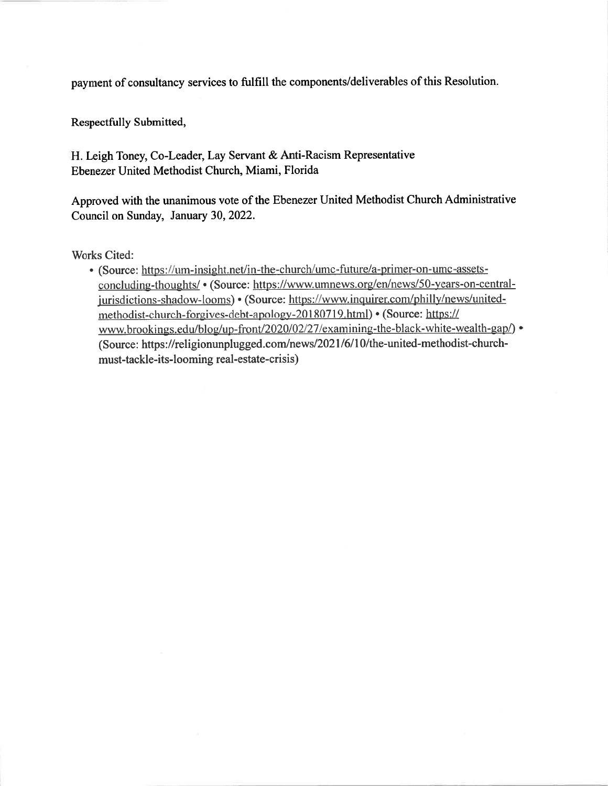payment of consultancy services to fulfill the components/deliverables of this Resolution.

Respectfully Submitted,

H. Leigh Toney, Co-Leader, Lay Servant & Anti-Racism Representative Ebenezer United Methodist Church, Miami, Florida

Approved with the unanimous vote of the Ebenezer United Methodist Church Administrative Council on Sunday, January 30, 2022.

**Works Cited:** 

• (Source: https://um-insight.net/in-the-church/umc-future/a-primer-on-umc-assetsconcluding-thoughts/ • (Source: https://www.umnews.org/en/news/50-years-on-centraljurisdictions-shadow-looms) • (Source: https://www.inquirer.com/philly/news/unitedmethodist-church-forgives-debt-apology-20180719.html) • (Source: https:// www.brookings.edu/blog/up-front/2020/02/27/examining-the-black-white-wealth-gap/) • (Source: https://religionunplugged.com/news/2021/6/10/the-united-methodist-churchmust-tackle-its-looming real-estate-crisis)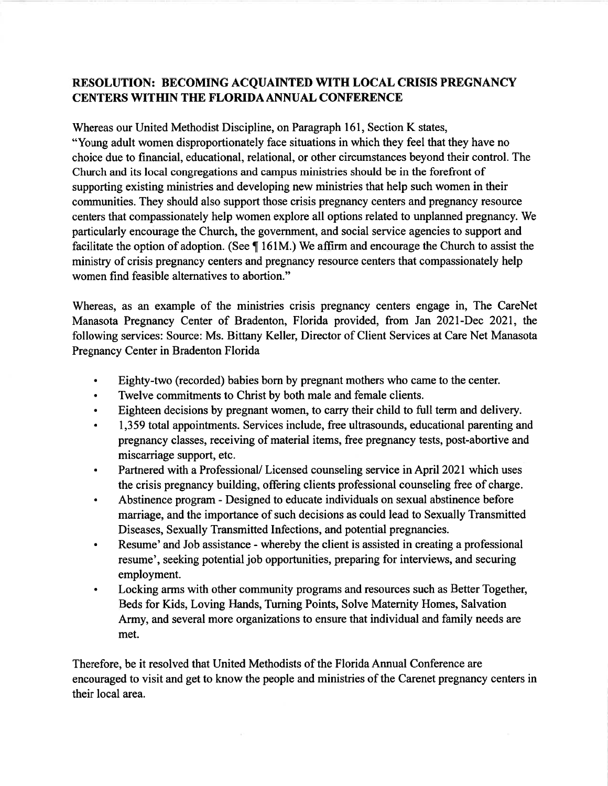# **RESOLUTION: BECOMING ACQUAINTED WITH LOCAL CRISIS PREGNANCY CENTERS WITHIN THE FLORIDA ANNUAL CONFERENCE**

Whereas our United Methodist Discipline, on Paragraph 161, Section K states, "Young adult women disproportionately face situations in which they feel that they have no choice due to financial, educational, relational, or other circumstances beyond their control. The Church and its local congregations and campus ministries should be in the forefront of supporting existing ministries and developing new ministries that help such women in their communities. They should also support those crisis pregnancy centers and pregnancy resource centers that compassionately help women explore all options related to unplanned pregnancy. We particularly encourage the Church, the government, and social service agencies to support and facilitate the option of adoption. (See  $\P$  161M.) We affirm and encourage the Church to assist the ministry of crisis pregnancy centers and pregnancy resource centers that compassionately help women find feasible alternatives to abortion."

Whereas, as an example of the ministries crisis pregnancy centers engage in, The CareNet Manasota Pregnancy Center of Bradenton, Florida provided, from Jan 2021-Dec 2021, the following services: Source: Ms. Bittany Keller, Director of Client Services at Care Net Manasota Pregnancy Center in Bradenton Florida

- Eighty-two (recorded) babies born by pregnant mothers who came to the center.  $\bullet$
- Twelve commitments to Christ by both male and female clients.  $\bullet$
- Eighteen decisions by pregnant women, to carry their child to full term and delivery.
- 1,359 total appointments. Services include, free ultrasounds, educational parenting and  $\bullet$ pregnancy classes, receiving of material items, free pregnancy tests, post-abortive and miscarriage support, etc.
- Partnered with a Professional/Licensed counseling service in April 2021 which uses the crisis pregnancy building, offering clients professional counseling free of charge.
- Abstinence program Designed to educate individuals on sexual abstinence before  $\bullet$ marriage, and the importance of such decisions as could lead to Sexually Transmitted Diseases, Sexually Transmitted Infections, and potential pregnancies.
- Resume' and Job assistance whereby the client is assisted in creating a professional  $\bullet$ resume', seeking potential job opportunities, preparing for interviews, and securing employment.
- Locking arms with other community programs and resources such as Better Together,  $\bullet$ Beds for Kids, Loving Hands, Turning Points, Solve Maternity Homes, Salvation Army, and several more organizations to ensure that individual and family needs are met.

Therefore, be it resolved that United Methodists of the Florida Annual Conference are encouraged to visit and get to know the people and ministries of the Carenet pregnancy centers in their local area.